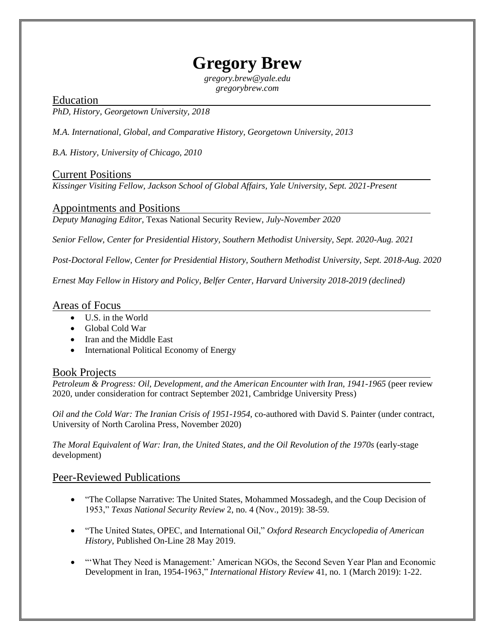# **Gregory Brew**

*gregory.brew@yale.edu gregorybrew.com*

Education

*PhD, History, Georgetown University, 2018* 

*M.A. International, Global, and Comparative History, Georgetown University, 2013* 

*B.A. History, University of Chicago, 2010* 

## Current Positions

*Kissinger Visiting Fellow, Jackson School of Global Affairs, Yale University, Sept. 2021-Present*

## Appointments and Positions

*Deputy Managing Editor,* Texas National Security Review, *July-November 2020*

*Senior Fellow, Center for Presidential History, Southern Methodist University, Sept. 2020-Aug. 2021*

*Post-Doctoral Fellow, Center for Presidential History, Southern Methodist University, Sept. 2018-Aug. 2020*

*Ernest May Fellow in History and Policy, Belfer Center, Harvard University 2018-2019 (declined)*

### Areas of Focus

- U.S. in the World
- Global Cold War
- Iran and the Middle East
- International Political Economy of Energy

## Book Projects

*Petroleum & Progress: Oil, Development, and the American Encounter with Iran, 1941-1965* (peer review 2020, under consideration for contract September 2021, Cambridge University Press)

*Oil and the Cold War: The Iranian Crisis of 1951-1954*, co-authored with David S. Painter (under contract, University of North Carolina Press, November 2020)

*The Moral Equivalent of War: Iran, the United States, and the Oil Revolution of the 1970s* (early-stage development)

## Peer-Reviewed Publications

- "The Collapse Narrative: The United States, Mohammed Mossadegh, and the Coup Decision of 1953," *Texas National Security Review* 2, no. 4 (Nov., 2019): 38-59.
- "The United States, OPEC, and International Oil," *Oxford Research Encyclopedia of American History*, Published On-Line 28 May 2019.
- "'What They Need is Management:' American NGOs, the Second Seven Year Plan and Economic Development in Iran, 1954-1963," *International History Review* 41, no. 1 (March 2019): 1-22.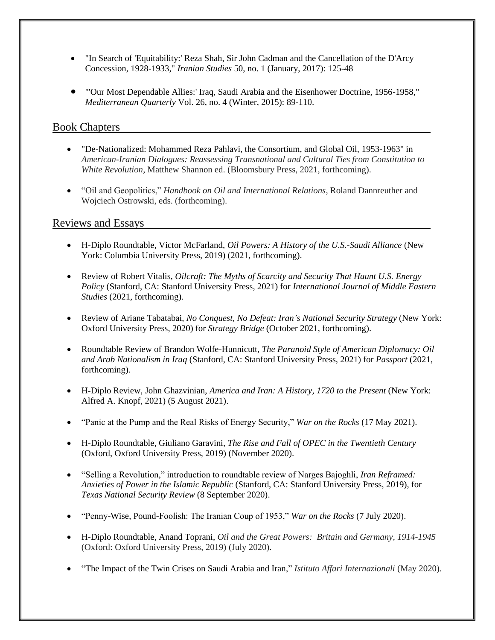- "In Search of 'Equitability:' Reza Shah, Sir John Cadman and the Cancellation of the D'Arcy Concession, 1928-1933," *Iranian Studies* 50, no. 1 (January, 2017): 125-48
- "'Our Most Dependable Allies:' Iraq, Saudi Arabia and the Eisenhower Doctrine, 1956-1958," *Mediterranean Quarterly* Vol. 26, no. 4 (Winter, 2015): 89-110.

## Book Chapters

- "De-Nationalized: Mohammed Reza Pahlavi, the Consortium, and Global Oil, 1953-1963" in *American-Iranian Dialogues: Reassessing Transnational and Cultural Ties from Constitution to White Revolution*, Matthew Shannon ed. (Bloomsbury Press, 2021, forthcoming).
- "Oil and Geopolitics," *Handbook on Oil and International Relations*, Roland Dannreuther and Wojciech Ostrowski, eds. (forthcoming).

## Reviews and Essays

- H-Diplo Roundtable, Victor McFarland, *Oil Powers: A History of the U.S.-Saudi Alliance* (New York: Columbia University Press, 2019) (2021, forthcoming).
- Review of Robert Vitalis, *Oilcraft: The Myths of Scarcity and Security That Haunt U.S. Energy Policy* (Stanford, CA: Stanford University Press, 2021) for *International Journal of Middle Eastern Studies* (2021, forthcoming).
- Review of Ariane Tabatabai, *No Conquest, No Defeat: Iran's National Security Strategy* (New York: Oxford University Press, 2020) for *Strategy Bridge* (October 2021, forthcoming).
- Roundtable Review of Brandon Wolfe-Hunnicutt, *The Paranoid Style of American Diplomacy: Oil and Arab Nationalism in Iraq* (Stanford, CA: Stanford University Press, 2021) for *Passport* (2021, forthcoming).
- H-Diplo Review, John Ghazvinian, *America and Iran: A History, 1720 to the Present* (New York: Alfred A. Knopf, 2021) (5 August 2021).
- "Panic at the Pump and the Real Risks of Energy Security," *War on the Rocks* (17 May 2021).
- H-Diplo Roundtable, Giuliano Garavini, *The Rise and Fall of OPEC in the Twentieth Century*  (Oxford, Oxford University Press, 2019) (November 2020).
- "Selling a Revolution," introduction to roundtable review of Narges Bajoghli, *Iran Reframed: Anxieties of Power in the Islamic Republic* (Stanford, CA: Stanford University Press, 2019), for *Texas National Security Review* (8 September 2020).
- "Penny-Wise, Pound-Foolish: The Iranian Coup of 1953," *War on the Rocks* (7 July 2020).
- H-Diplo Roundtable, Anand Toprani, *Oil and the Great Powers: Britain and Germany, 1914-1945*  (Oxford: Oxford University Press, 2019) (July 2020).
- "The Impact of the Twin Crises on Saudi Arabia and Iran," *Istituto Affari Internazionali* (May 2020).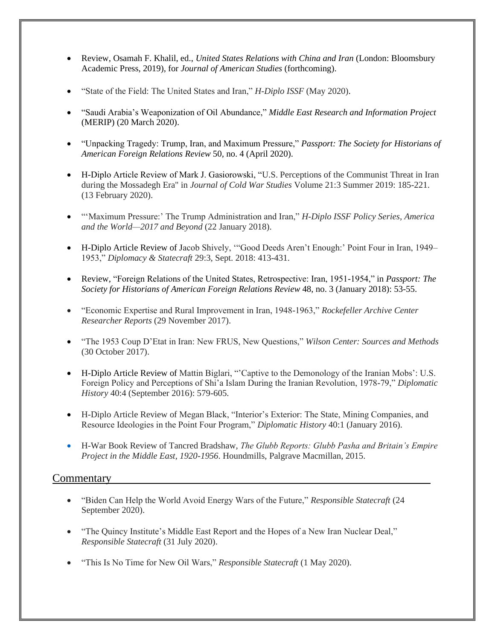- Review, Osamah F. Khalil, ed., *United States Relations with China and Iran* (London: Bloomsbury Academic Press, 2019), for *Journal of American Studies* (forthcoming).
- "State of the Field: The United States and Iran," *H-Diplo ISSF* (May 2020).
- "Saudi Arabia's Weaponization of Oil Abundance," *Middle East Research and Information Project*  (MERIP) (20 March 2020).
- "Unpacking Tragedy: Trump, Iran, and Maximum Pressure," *Passport: The Society for Historians of American Foreign Relations Review* 50*,* no. 4 (April 2020).
- H-Diplo Article Review of Mark J. Gasiorowski, "U.S. Perceptions of the Communist Threat in Iran during the Mossadegh Era" in *Journal of Cold War Studies* Volume 21:3 Summer 2019: 185-221. (13 February 2020).
- "'Maximum Pressure:' The Trump Administration and Iran," *H-Diplo ISSF Policy Series, America and the World—2017 and Beyond* (22 January 2018).
- H-Diplo Article Review of Jacob Shively, '"Good Deeds Aren't Enough:' Point Four in Iran, 1949– 1953," *Diplomacy & Statecraft* 29:3, Sept. 2018: 413-431.
- Review, "Foreign Relations of the United States, Retrospective: Iran, 1951-1954," in *Passport: The Society for Historians of American Foreign Relations Review* 48, no. 3 (January 2018): 53-55.
- "Economic Expertise and Rural Improvement in Iran, 1948-1963," *Rockefeller Archive Center Researcher Reports* (29 November 2017).
- "The 1953 Coup D'Etat in Iran: New FRUS, New Questions," *Wilson Center: Sources and Methods* (30 October 2017).
- H-Diplo Article Review of Mattin Biglari, "'Captive to the Demonology of the Iranian Mobs': U.S. Foreign Policy and Perceptions of Shi'a Islam During the Iranian Revolution, 1978-79," *Diplomatic History* 40:4 (September 2016): 579-605.
- H-Diplo Article Review of Megan Black, "Interior's Exterior: The State, Mining Companies, and Resource Ideologies in the Point Four Program," *Diplomatic History* 40:1 (January 2016).
- H-War Book Review of Tancred Bradshaw, *[The Glubb Reports: Glubb Pasha and Britain's Empire](https://www.academia.edu/26348102/Review_The_Glubb_Reports_Glubb_Pasha_and_Britain_s_Empire_Project_in_the_Middle_East_1920-1956._Houndmills_Basingstoke_Hampshire_Palgrave_Macmillan_2015)  Project in the Middle East, 1920-1956*[. Houndmills, Palgrave Macmillan, 2015.](https://www.academia.edu/26348102/Review_The_Glubb_Reports_Glubb_Pasha_and_Britain_s_Empire_Project_in_the_Middle_East_1920-1956._Houndmills_Basingstoke_Hampshire_Palgrave_Macmillan_2015)

## **Commentary**

- "Biden Can Help the World Avoid Energy Wars of the Future," *Responsible Statecraft* (24 September 2020).
- "The Quincy Institute's Middle East Report and the Hopes of a New Iran Nuclear Deal," *Responsible Statecraft* (31 July 2020).
- "This Is No Time for New Oil Wars," *Responsible Statecraft* (1 May 2020).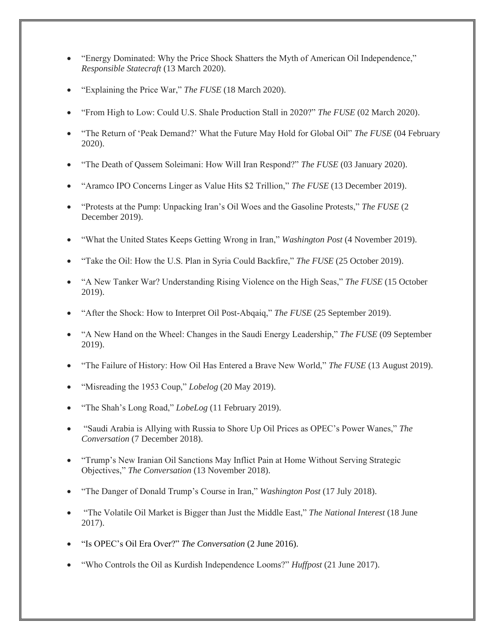- "Energy Dominated: Why the Price Shock Shatters the Myth of American Oil Independence," *Responsible Statecraft* (13 March 2020).
- "Explaining the Price War," *The FUSE* (18 March 2020).
- "From High to Low: Could U.S. Shale Production Stall in 2020?" *The FUSE* (02 March 2020).
- "The Return of 'Peak Demand?' What the Future May Hold for Global Oil" *The FUSE* (04 February 2020).
- "The Death of Qassem Soleimani: How Will Iran Respond?" *The FUSE* (03 January 2020).
- "Aramco IPO Concerns Linger as Value Hits \$2 Trillion," *The FUSE* (13 December 2019).
- "Protests at the Pump: Unpacking Iran's Oil Woes and the Gasoline Protests," *The FUSE* (2 December 2019).
- "What the United States Keeps Getting Wrong in Iran," *Washington Post* (4 November 2019).
- "Take the Oil: How the U.S. Plan in Syria Could Backfire," *The FUSE* (25 October 2019).
- "A New Tanker War? Understanding Rising Violence on the High Seas," *The FUSE* (15 October 2019).
- "After the Shock: How to Interpret Oil Post-Abqaiq," *The FUSE* (25 September 2019).
- "A New Hand on the Wheel: Changes in the Saudi Energy Leadership," *The FUSE* (09 September 2019).
- "The Failure of History: How Oil Has Entered a Brave New World," *The FUSE* (13 August 2019).
- "Misreading the 1953 Coup," *Lobelog* (20 May 2019).
- "The Shah's Long Road," *LobeLog* (11 February 2019).
- "Saudi Arabia is Allying with Russia to Shore Up Oil Prices as OPEC's Power Wanes," *The Conversation* (7 December 2018).
- "Trump's New Iranian Oil Sanctions May Inflict Pain at Home Without Serving Strategic Objectives," *The Conversation* (13 November 2018).
- "The Danger of Donald Trump's Course in Iran," *Washington Post* (17 July 2018).
- "The Volatile Oil Market is Bigger than Just the Middle East," *The National Interest* (18 June 2017).
- "Is OPEC's Oil Era Over?" *The Conversation* (2 June 2016).
- "Who Controls the Oil as Kurdish Independence Looms?" *Huffpost* (21 June 2017).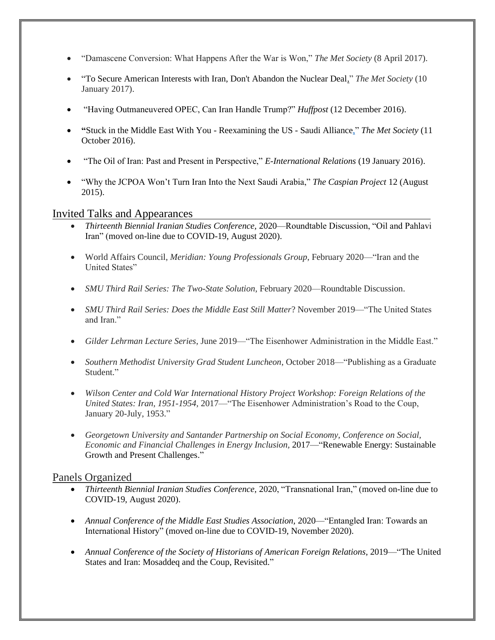- "Damascene Conversion: What Happens After the War is Won," *The Met Society* (8 April 2017).
- "To Secure American Interests with Iran, Don't Abandon the Nuclear Deal," *The Met Society* (10 January 2017).
- "Having Outmaneuvered OPEC, Can Iran Handle Trump?" *Huffpost* (12 December 2016).
- **"**Stuck in the Middle East With You Reexamining the US Saudi Alliance," *The Met Society* (11 October 2016).
- "The Oil of Iran: Past and Present in Perspective," *E-International Relations* (19 January 2016).
- "Why the JCPOA Won't Turn Iran Into the Next Saudi Arabia," *The Caspian Project* 12 (August 2015).

#### Invited Talks and Appearances

- *Thirteenth Biennial Iranian Studies Conference,* 2020—Roundtable Discussion, "Oil and Pahlavi Iran" (moved on-line due to COVID-19, August 2020).
- World Affairs Council, *Meridian: Young Professionals Group*, February 2020—"Iran and the United States"
- *SMU Third Rail Series: The Two-State Solution*, February 2020—Roundtable Discussion.
- *SMU Third Rail Series: Does the Middle East Still Matter*? November 2019—"The United States and Iran."
- *Gilder Lehrman Lecture Series*, June 2019—"The Eisenhower Administration in the Middle East."
- *Southern Methodist University Grad Student Luncheon*, October 2018—"Publishing as a Graduate Student."
- *Wilson Center and Cold War International History Project Workshop: Foreign Relations of the United States: Iran, 1951-1954,* 2017—"The Eisenhower Administration's Road to the Coup, January 20-July, 1953."
- *Georgetown University and Santander Partnership on Social Economy, Conference on Social, Economic and Financial Challenges in Energy Inclusion,* 2017—"Renewable Energy: Sustainable Growth and Present Challenges."

### Panels Organized

- *Thirteenth Biennial Iranian Studies Conference,* 2020, "Transnational Iran," (moved on-line due to COVID-19, August 2020).
- *Annual Conference of the Middle East Studies Association, 2020* "Entangled Iran: Towards an International History" (moved on-line due to COVID-19, November 2020).
- *Annual Conference of the Society of Historians of American Foreign Relations*, 2019—"The United States and Iran: Mosaddeq and the Coup, Revisited."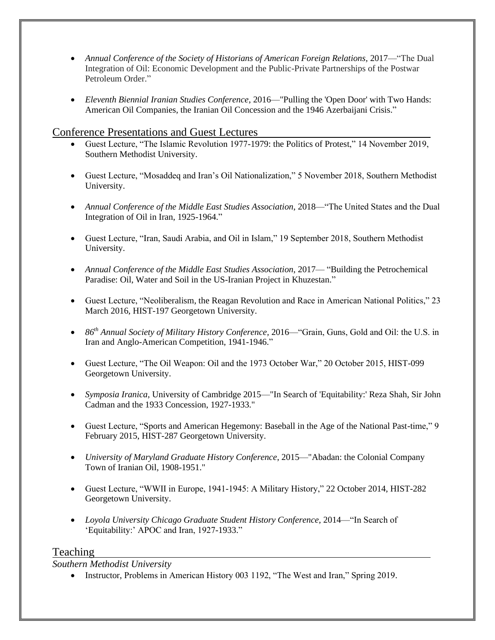- *Annual Conference of the Society of Historians of American Foreign Relations,* 2017—"The Dual Integration of Oil: Economic Development and the Public-Private Partnerships of the Postwar Petroleum Order."
- *Eleventh Biennial Iranian Studies Conference*, 2016—"Pulling the 'Open Door' with Two Hands: American Oil Companies, the Iranian Oil Concession and the 1946 Azerbaijani Crisis."

## Conference Presentations and Guest Lectures

- Guest Lecture, "The Islamic Revolution 1977-1979: the Politics of Protest," 14 November 2019, Southern Methodist University.
- Guest Lecture, "Mosaddeq and Iran's Oil Nationalization," 5 November 2018, Southern Methodist University.
- *Annual Conference of the Middle East Studies Association*, 2018—"The United States and the Dual Integration of Oil in Iran, 1925-1964."
- Guest Lecture, "Iran, Saudi Arabia, and Oil in Islam," 19 September 2018, Southern Methodist University.
- *Annual Conference of the Middle East Studies Association*, 2017— "Building the Petrochemical Paradise: Oil, Water and Soil in the US-Iranian Project in Khuzestan."
- Guest Lecture, "Neoliberalism, the Reagan Revolution and Race in American National Politics," 23 March 2016, HIST-197 Georgetown University.
- *86th Annual Society of Military History Conference,* 2016—"Grain, Guns, Gold and Oil: the U.S. in Iran and Anglo-American Competition, 1941-1946."
- Guest Lecture, "The Oil Weapon: Oil and the 1973 October War," 20 October 2015, HIST-099 Georgetown University.
- *Symposia Iranica*, University of Cambridge 2015—"In Search of 'Equitability:' Reza Shah, Sir John Cadman and the 1933 Concession, 1927-1933."
- Guest Lecture, "Sports and American Hegemony: Baseball in the Age of the National Past-time," 9 February 2015, HIST-287 Georgetown University.
- *University of Maryland Graduate History Conference*, 2015—"Abadan: the Colonial Company Town of Iranian Oil, 1908-1951."
- Guest Lecture, "WWII in Europe, 1941-1945: A Military History," 22 October 2014, HIST-282 Georgetown University.
- *Loyola University Chicago Graduate Student History Conference,* 2014—"In Search of 'Equitability:' APOC and Iran, 1927-1933."

### **Teaching**

*Southern Methodist University*

• Instructor, Problems in American History 003 1192, "The West and Iran," Spring 2019.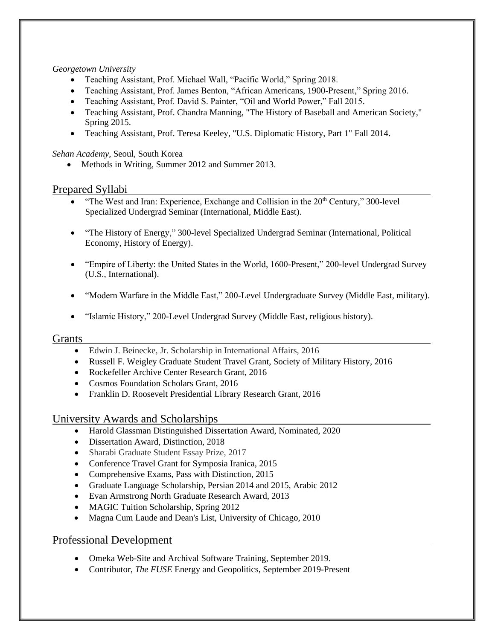#### *Georgetown University*

- Teaching Assistant, Prof. Michael Wall, "Pacific World," Spring 2018.
- Teaching Assistant, Prof. James Benton, "African Americans, 1900-Present," Spring 2016.
- Teaching Assistant, Prof. David S. Painter, "Oil and World Power," Fall 2015.
- Teaching Assistant, Prof. Chandra Manning, "The History of Baseball and American Society," Spring 2015.
- Teaching Assistant, Prof. Teresa Keeley, "U.S. Diplomatic History, Part 1" Fall 2014.

*Sehan Academy*, Seoul, South Korea

• Methods in Writing, Summer 2012 and Summer 2013.

### Prepared Syllabi

- "The West and Iran: Experience, Exchange and Collision in the  $20<sup>th</sup>$  Century," 300-level Specialized Undergrad Seminar (International, Middle East).
- "The History of Energy," 300-level Specialized Undergrad Seminar (International, Political Economy, History of Energy).
- "Empire of Liberty: the United States in the World, 1600-Present," 200-level Undergrad Survey (U.S., International).
- "Modern Warfare in the Middle East," 200-Level Undergraduate Survey (Middle East, military).
- "Islamic History," 200-Level Undergrad Survey (Middle East, religious history).

#### Grants

- Edwin J. Beinecke, Jr. Scholarship in International Affairs, 2016
- Russell F. Weigley Graduate Student Travel Grant, Society of Military History, 2016
- Rockefeller Archive Center Research Grant, 2016
- Cosmos Foundation Scholars Grant, 2016
- Franklin D. Roosevelt Presidential Library Research Grant, 2016

### University Awards and Scholarships

- Harold Glassman Distinguished Dissertation Award, Nominated, 2020
- Dissertation Award, Distinction, 2018
- Sharabi Graduate Student Essay Prize, 2017
- Conference Travel Grant for Symposia Iranica, 2015
- Comprehensive Exams, Pass with Distinction, 2015
- Graduate Language Scholarship, Persian 2014 and 2015, Arabic 2012
- Evan Armstrong North Graduate Research Award, 2013
- MAGIC Tuition Scholarship, Spring 2012
- Magna Cum Laude and Dean's List, University of Chicago, 2010

### Professional Development

- Omeka Web-Site and Archival Software Training, September 2019.
- Contributor, *The FUSE* Energy and Geopolitics, September 2019-Present